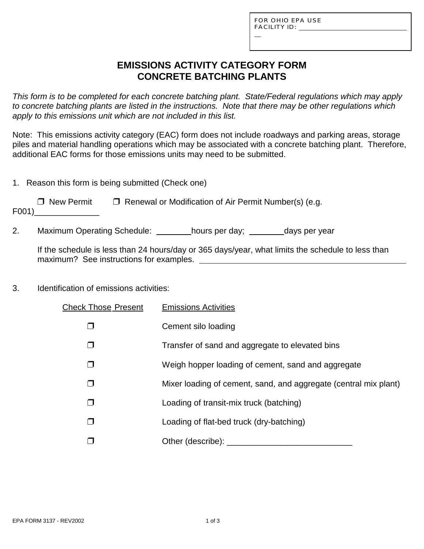L

# **EMISSIONS ACTIVITY CATEGORY FORM CONCRETE BATCHING PLANTS**

*This form is to be completed for each concrete batching plant. State/Federal regulations which may apply to concrete batching plants are listed in the instructions. Note that there may be other regulations which apply to this emissions unit which are not included in this list.*

Note: This emissions activity category (EAC) form does not include roadways and parking areas, storage piles and material handling operations which may be associated with a concrete batching plant. Therefore, additional EAC forms for those emissions units may need to be submitted.

|  |  |  | 1. Reason this form is being submitted (Check one) |  |
|--|--|--|----------------------------------------------------|--|
|  |  |  |                                                    |  |

| $\Box$ New Permit | $\Box$ Renewal or Modification of Air Permit Number(s) (e.g. |
|-------------------|--------------------------------------------------------------|
|-------------------|--------------------------------------------------------------|

F001)\_\_\_\_\_\_\_\_\_\_\_\_\_\_

2. Maximum Operating Schedule: hours per day; days per year

If the schedule is less than 24 hours/day or 365 days/year, what limits the schedule to less than maximum? See instructions for examples.

## 3. Identification of emissions activities:

| <b>Check Those Present</b> | <b>Emissions Activities</b>                                      |
|----------------------------|------------------------------------------------------------------|
|                            | Cement silo loading                                              |
|                            | Transfer of sand and aggregate to elevated bins                  |
| ⊓                          | Weigh hopper loading of cement, sand and aggregate               |
| $\Box$                     | Mixer loading of cement, sand, and aggregate (central mix plant) |
| □                          | Loading of transit-mix truck (batching)                          |
| □                          | Loading of flat-bed truck (dry-batching)                         |
|                            | Other (describe): __________                                     |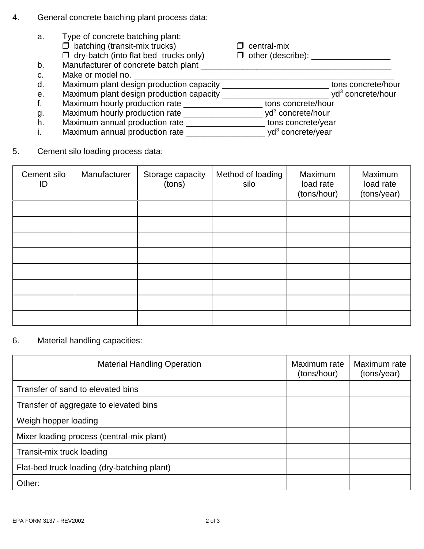- 4. General concrete batching plant process data:
	- a. Type of concrete batching plant:  $\Box$  batching (transit-mix trucks)  $\Box$  central-mix " dry-batch (into flat bed trucks only) " other (describe): \_\_\_\_\_\_\_\_\_\_\_\_\_\_\_\_\_ b. Manufacturer of concrete batch plant c. Make or model no. \_\_\_\_\_\_\_\_\_\_\_\_\_\_\_\_\_\_\_\_\_\_\_\_\_\_\_\_\_\_\_\_\_\_\_\_\_\_\_\_\_\_\_\_\_\_\_\_\_\_\_\_\_\_\_\_ d. Maximum plant design production capacity \_\_\_\_\_\_\_\_\_\_\_\_\_\_\_\_\_\_\_\_\_\_\_\_\_\_\_\_tons concrete/hour e. Maximum plant design production capacity \_\_\_\_\_\_\_\_\_\_\_\_\_\_\_\_\_\_\_\_\_\_\_\_\_\_\_\_\_\_\_\_ yd<sup>3</sup> concrete/hour f. Maximum hourly production rate \_\_\_\_\_\_\_\_\_\_\_\_\_\_\_\_\_\_\_\_\_\_\_\_\_ tons concrete/hour g. Maximum hourly production rate \_\_\_\_\_\_\_\_\_\_\_\_\_\_\_\_\_\_\_\_\_\_ yd<sup>3</sup> concrete/hour h. Maximum annual production rate \_\_\_\_\_\_\_\_\_\_\_\_\_\_\_\_\_ tons concrete/year
		- i. Maximum annual production rate \_\_\_\_\_\_\_\_\_\_\_\_\_\_\_\_\_\_\_\_\_\_ yd<sup>3</sup> concrete/year
- 5. Cement silo loading process data:

| Cement silo<br>ID | Manufacturer | Storage capacity<br>(tons) | Method of loading<br>silo | Maximum<br>load rate<br>(tons/hour) | Maximum<br>load rate<br>(tons/year) |
|-------------------|--------------|----------------------------|---------------------------|-------------------------------------|-------------------------------------|
|                   |              |                            |                           |                                     |                                     |
|                   |              |                            |                           |                                     |                                     |
|                   |              |                            |                           |                                     |                                     |
|                   |              |                            |                           |                                     |                                     |
|                   |              |                            |                           |                                     |                                     |
|                   |              |                            |                           |                                     |                                     |
|                   |              |                            |                           |                                     |                                     |
|                   |              |                            |                           |                                     |                                     |

#### 6. Material handling capacities:

| <b>Material Handling Operation</b>          | Maximum rate<br>(tons/hour) | Maximum rate<br>(tons/year) |
|---------------------------------------------|-----------------------------|-----------------------------|
| Transfer of sand to elevated bins           |                             |                             |
| Transfer of aggregate to elevated bins      |                             |                             |
| Weigh hopper loading                        |                             |                             |
| Mixer loading process (central-mix plant)   |                             |                             |
| Transit-mix truck loading                   |                             |                             |
| Flat-bed truck loading (dry-batching plant) |                             |                             |
| Other:                                      |                             |                             |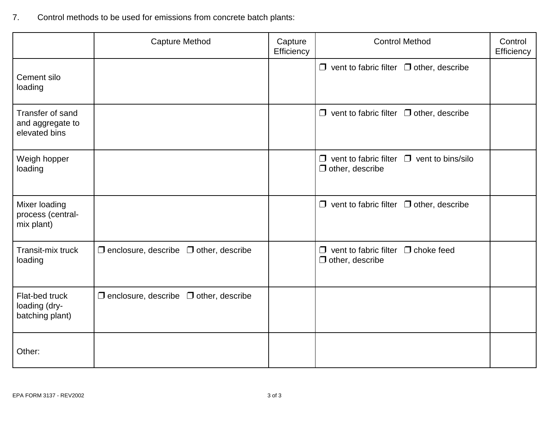7. Control methods to be used for emissions from concrete batch plants:

|                                                       | <b>Capture Method</b>                             | Capture<br>Efficiency | <b>Control Method</b>                                                           | Control<br>Efficiency |
|-------------------------------------------------------|---------------------------------------------------|-----------------------|---------------------------------------------------------------------------------|-----------------------|
| Cement silo<br>loading                                |                                                   |                       | $\Box$ vent to fabric filter $\Box$ other, describe                             |                       |
| Transfer of sand<br>and aggregate to<br>elevated bins |                                                   |                       | $\Box$ vent to fabric filter $\Box$ other, describe                             |                       |
| Weigh hopper<br>loading                               |                                                   |                       | $\Box$ vent to fabric filter $\Box$ vent to bins/silo<br>$\Box$ other, describe |                       |
| Mixer loading<br>process (central-<br>mix plant)      |                                                   |                       | $\Box$ vent to fabric filter $\Box$ other, describe                             |                       |
| Transit-mix truck<br>loading                          | $\Box$ enclosure, describe $\Box$ other, describe |                       | $\Box$ vent to fabric filter $\Box$ choke feed<br>$\Box$ other, describe        |                       |
| Flat-bed truck<br>loading (dry-<br>batching plant)    | $\Box$ enclosure, describe $\Box$ other, describe |                       |                                                                                 |                       |
| Other:                                                |                                                   |                       |                                                                                 |                       |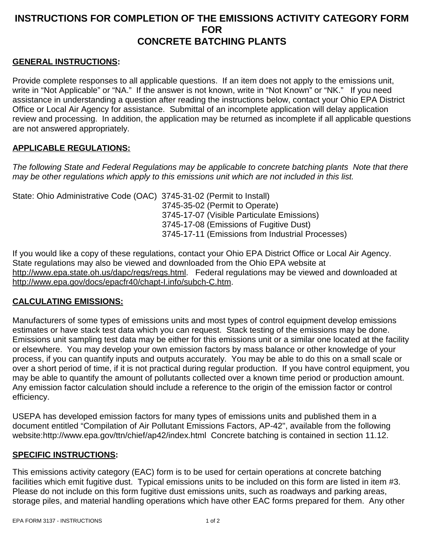# **INSTRUCTIONS FOR COMPLETION OF THE EMISSIONS ACTIVITY CATEGORY FORM FOR CONCRETE BATCHING PLANTS**

### **GENERAL INSTRUCTIONS:**

Provide complete responses to all applicable questions. If an item does not apply to the emissions unit, write in "Not Applicable" or "NA." If the answer is not known, write in "Not Known" or "NK." If you need assistance in understanding a question after reading the instructions below, contact your Ohio EPA District Office or Local Air Agency for assistance. Submittal of an incomplete application will delay application review and processing. In addition, the application may be returned as incomplete if all applicable questions are not answered appropriately.

#### **APPLICABLE REGULATIONS:**

*The following State and Federal Regulations may be applicable to concrete batching plants Note that there may be other regulations which apply to this emissions unit which are not included in this list.*

State: Ohio Administrative Code (OAC) 3745-31-02 (Permit to Install) 3745-35-02 (Permit to Operate) 3745-17-07 (Visible Particulate Emissions) 3745-17-08 (Emissions of Fugitive Dust) 3745-17-11 (Emissions from Industrial Processes)

If you would like a copy of these regulations, contact your Ohio EPA District Office or Local Air Agency. State regulations may also be viewed and downloaded from the Ohio EPA website at http://www.epa.state.oh.us/dapc/regs/regs.html. Federal regulations may be viewed and downloaded at http://www.epa.gov/docs/epacfr40/chapt-I.info/subch-C.htm.

## **CALCULATING EMISSIONS:**

Manufacturers of some types of emissions units and most types of control equipment develop emissions estimates or have stack test data which you can request. Stack testing of the emissions may be done. Emissions unit sampling test data may be either for this emissions unit or a similar one located at the facility or elsewhere. You may develop your own emission factors by mass balance or other knowledge of your process, if you can quantify inputs and outputs accurately. You may be able to do this on a small scale or over a short period of time, if it is not practical during regular production. If you have control equipment, you may be able to quantify the amount of pollutants collected over a known time period or production amount. Any emission factor calculation should include a reference to the origin of the emission factor or control efficiency.

USEPA has developed emission factors for many types of emissions units and published them in a document entitled "Compilation of Air Pollutant Emissions Factors, AP-42", available from the following website:http://www.epa.gov/ttn/chief/ap42/index.html Concrete batching is contained in section 11.12.

### **SPECIFIC INSTRUCTIONS:**

This emissions activity category (EAC) form is to be used for certain operations at concrete batching facilities which emit fugitive dust. Typical emissions units to be included on this form are listed in item #3. Please do not include on this form fugitive dust emissions units, such as roadways and parking areas, storage piles, and material handling operations which have other EAC forms prepared for them. Any other